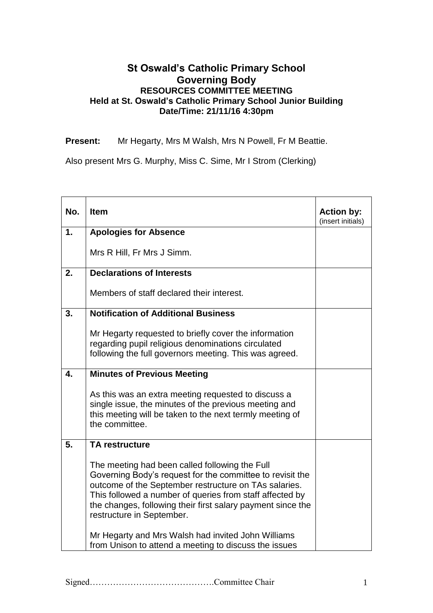## **St Oswald's Catholic Primary School Governing Body RESOURCES COMMITTEE MEETING Held at St. Oswald's Catholic Primary School Junior Building Date/Time: 21/11/16 4:30pm**

**Present:** Mr Hegarty, Mrs M Walsh, Mrs N Powell, Fr M Beattie.

Also present Mrs G. Murphy, Miss C. Sime, Mr I Strom (Clerking)

| No. | <b>Item</b>                                                                                                                                                                                                                                                                                                                  | <b>Action by:</b><br>(insert initials) |
|-----|------------------------------------------------------------------------------------------------------------------------------------------------------------------------------------------------------------------------------------------------------------------------------------------------------------------------------|----------------------------------------|
| 1.  | <b>Apologies for Absence</b>                                                                                                                                                                                                                                                                                                 |                                        |
|     | Mrs R Hill, Fr Mrs J Simm.                                                                                                                                                                                                                                                                                                   |                                        |
| 2.  | <b>Declarations of Interests</b>                                                                                                                                                                                                                                                                                             |                                        |
|     | Members of staff declared their interest.                                                                                                                                                                                                                                                                                    |                                        |
| 3.  | <b>Notification of Additional Business</b>                                                                                                                                                                                                                                                                                   |                                        |
|     | Mr Hegarty requested to briefly cover the information<br>regarding pupil religious denominations circulated<br>following the full governors meeting. This was agreed.                                                                                                                                                        |                                        |
| 4.  | <b>Minutes of Previous Meeting</b>                                                                                                                                                                                                                                                                                           |                                        |
|     | As this was an extra meeting requested to discuss a<br>single issue, the minutes of the previous meeting and<br>this meeting will be taken to the next termly meeting of<br>the committee.                                                                                                                                   |                                        |
| 5.  | <b>TA restructure</b>                                                                                                                                                                                                                                                                                                        |                                        |
|     | The meeting had been called following the Full<br>Governing Body's request for the committee to revisit the<br>outcome of the September restructure on TAs salaries.<br>This followed a number of queries from staff affected by<br>the changes, following their first salary payment since the<br>restructure in September. |                                        |
|     | Mr Hegarty and Mrs Walsh had invited John Williams<br>from Unison to attend a meeting to discuss the issues                                                                                                                                                                                                                  |                                        |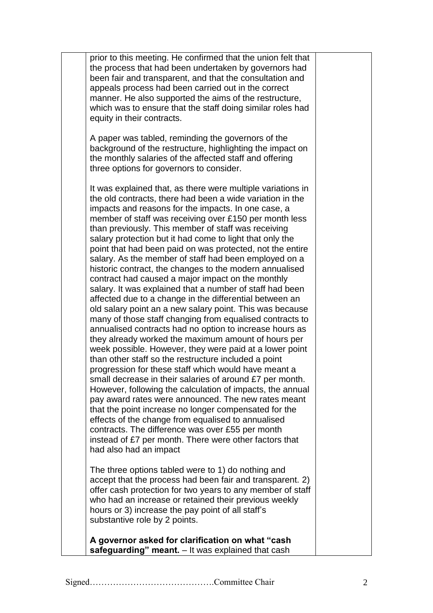prior to this meeting. He confirmed that the union felt that the process that had been undertaken by governors had been fair and transparent, and that the consultation and appeals process had been carried out in the correct manner. He also supported the aims of the restructure, which was to ensure that the staff doing similar roles had equity in their contracts.

A paper was tabled, reminding the governors of the background of the restructure, highlighting the impact on the monthly salaries of the affected staff and offering three options for governors to consider.

It was explained that, as there were multiple variations in the old contracts, there had been a wide variation in the impacts and reasons for the impacts. In one case, a member of staff was receiving over £150 per month less than previously. This member of staff was receiving salary protection but it had come to light that only the point that had been paid on was protected, not the entire salary. As the member of staff had been employed on a historic contract, the changes to the modern annualised contract had caused a major impact on the monthly salary. It was explained that a number of staff had been affected due to a change in the differential between an old salary point an a new salary point. This was because many of those staff changing from equalised contracts to annualised contracts had no option to increase hours as they already worked the maximum amount of hours per week possible. However, they were paid at a lower point than other staff so the restructure included a point progression for these staff which would have meant a small decrease in their salaries of around £7 per month. However, following the calculation of impacts, the annual pay award rates were announced. The new rates meant that the point increase no longer compensated for the effects of the change from equalised to annualised contracts. The difference was over £55 per month instead of £7 per month. There were other factors that had also had an impact

The three options tabled were to 1) do nothing and accept that the process had been fair and transparent. 2) offer cash protection for two years to any member of staff who had an increase or retained their previous weekly hours or 3) increase the pay point of all staff's substantive role by 2 points.

**A governor asked for clarification on what "cash safeguarding" meant.** – It was explained that cash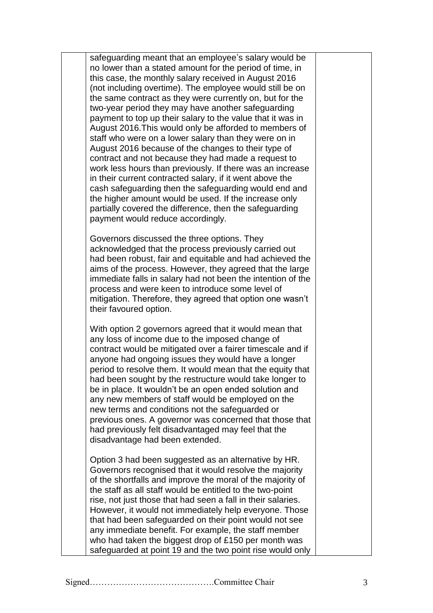safeguarding meant that an employee's salary would be no lower than a stated amount for the period of time, in this case, the monthly salary received in August 2016 (not including overtime). The employee would still be on the same contract as they were currently on, but for the two-year period they may have another safeguarding payment to top up their salary to the value that it was in August 2016.This would only be afforded to members of staff who were on a lower salary than they were on in August 2016 because of the changes to their type of contract and not because they had made a request to work less hours than previously. If there was an increase in their current contracted salary, if it went above the cash safeguarding then the safeguarding would end and the higher amount would be used. If the increase only partially covered the difference, then the safeguarding payment would reduce accordingly.

Governors discussed the three options. They acknowledged that the process previously carried out had been robust, fair and equitable and had achieved the aims of the process. However, they agreed that the large immediate falls in salary had not been the intention of the process and were keen to introduce some level of mitigation. Therefore, they agreed that option one wasn't their favoured option.

With option 2 governors agreed that it would mean that any loss of income due to the imposed change of contract would be mitigated over a fairer timescale and if anyone had ongoing issues they would have a longer period to resolve them. It would mean that the equity that had been sought by the restructure would take longer to be in place. It wouldn't be an open ended solution and any new members of staff would be employed on the new terms and conditions not the safeguarded or previous ones. A governor was concerned that those that had previously felt disadvantaged may feel that the disadvantage had been extended.

Option 3 had been suggested as an alternative by HR. Governors recognised that it would resolve the majority of the shortfalls and improve the moral of the majority of the staff as all staff would be entitled to the two-point rise, not just those that had seen a fall in their salaries. However, it would not immediately help everyone. Those that had been safeguarded on their point would not see any immediate benefit. For example, the staff member who had taken the biggest drop of £150 per month was safeguarded at point 19 and the two point rise would only